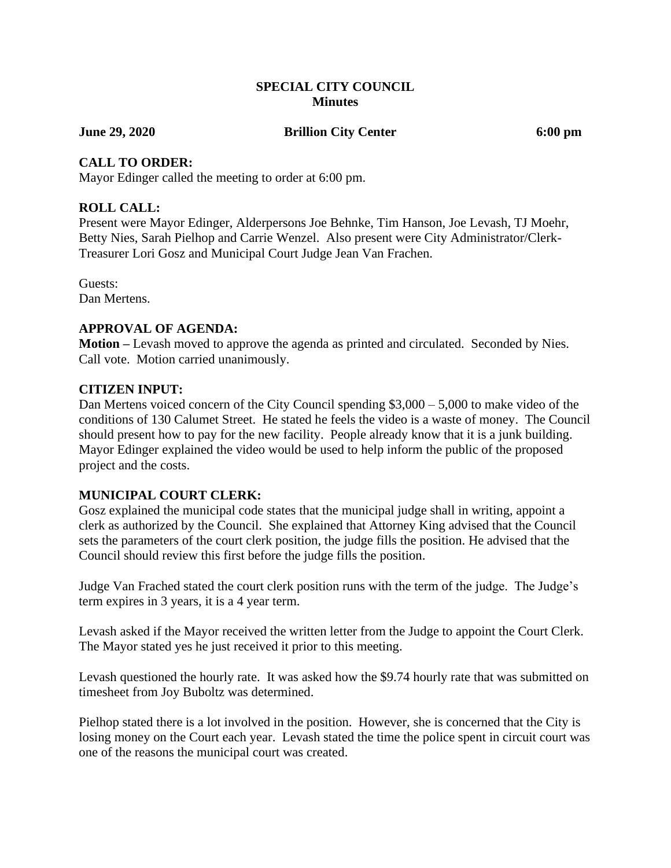#### **SPECIAL CITY COUNCIL Minutes**

**June 29, 2020 Brillion City Center 6:00 pm**

#### **CALL TO ORDER:**

Mayor Edinger called the meeting to order at 6:00 pm.

# **ROLL CALL:**

Present were Mayor Edinger, Alderpersons Joe Behnke, Tim Hanson, Joe Levash, TJ Moehr, Betty Nies, Sarah Pielhop and Carrie Wenzel. Also present were City Administrator/Clerk-Treasurer Lori Gosz and Municipal Court Judge Jean Van Frachen.

Guests: Dan Mertens.

## **APPROVAL OF AGENDA:**

**Motion –** Levash moved to approve the agenda as printed and circulated. Seconded by Nies. Call vote. Motion carried unanimously.

## **CITIZEN INPUT:**

Dan Mertens voiced concern of the City Council spending \$3,000 – 5,000 to make video of the conditions of 130 Calumet Street. He stated he feels the video is a waste of money. The Council should present how to pay for the new facility. People already know that it is a junk building. Mayor Edinger explained the video would be used to help inform the public of the proposed project and the costs.

## **MUNICIPAL COURT CLERK:**

Gosz explained the municipal code states that the municipal judge shall in writing, appoint a clerk as authorized by the Council. She explained that Attorney King advised that the Council sets the parameters of the court clerk position, the judge fills the position. He advised that the Council should review this first before the judge fills the position.

Judge Van Frached stated the court clerk position runs with the term of the judge. The Judge's term expires in 3 years, it is a 4 year term.

Levash asked if the Mayor received the written letter from the Judge to appoint the Court Clerk. The Mayor stated yes he just received it prior to this meeting.

Levash questioned the hourly rate. It was asked how the \$9.74 hourly rate that was submitted on timesheet from Joy Buboltz was determined.

Pielhop stated there is a lot involved in the position. However, she is concerned that the City is losing money on the Court each year. Levash stated the time the police spent in circuit court was one of the reasons the municipal court was created.